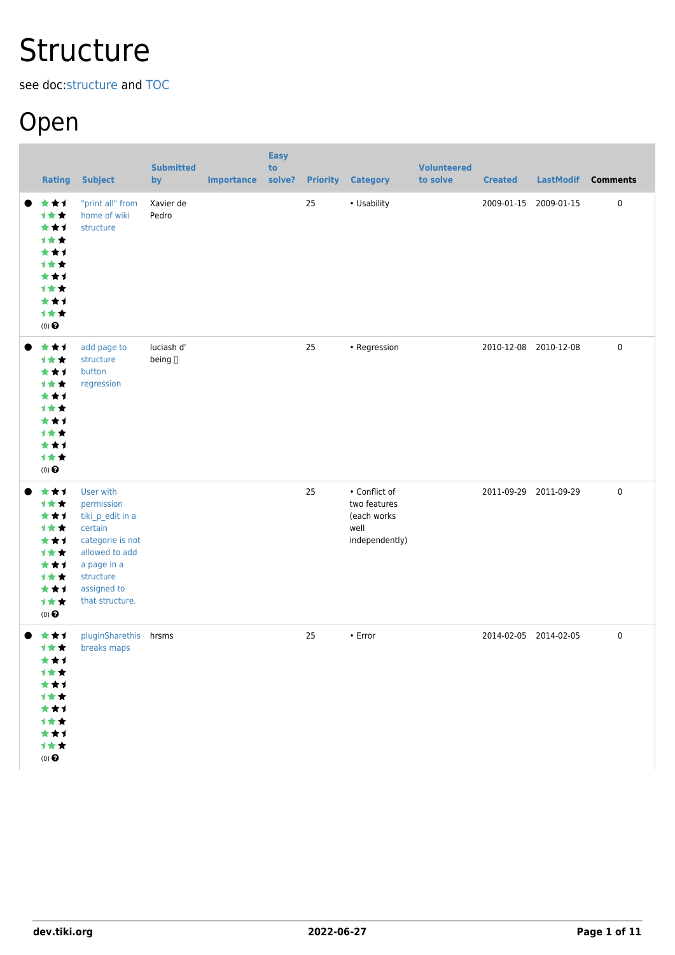# **Structure**

see doc:[structure](http://doc.tiki.org/structure) and [TOC](https://dev.tiki.org/TOC)

## Open

| <b>Rating</b>                                                                                             | <b>Subject</b>                                                                                                                                             | <b>Submitted</b><br>by | <b>Importance</b> | <b>Easy</b><br>to<br>solve? |    | <b>Priority Category</b>                                               | <b>Volunteered</b><br>to solve | <b>Created</b>        | <b>LastModif</b> | <b>Comments</b> |
|-----------------------------------------------------------------------------------------------------------|------------------------------------------------------------------------------------------------------------------------------------------------------------|------------------------|-------------------|-----------------------------|----|------------------------------------------------------------------------|--------------------------------|-----------------------|------------------|-----------------|
| ***<br>计女女<br>***<br>计女女<br>***<br><b>1**</b><br>***<br>1★★<br>***<br>计女女<br>$(0)$ $\odot$                | "print all" from<br>home of wiki<br>structure                                                                                                              | Xavier de<br>Pedro     |                   |                             | 25 | • Usability                                                            |                                | 2009-01-15 2009-01-15 |                  | $\pmb{0}$       |
| ***<br>▬<br><b>1**</b><br>***<br>1★★<br>***<br><b>1**</b><br>***<br>计女女<br>***<br>计女女<br>$(0)$ $\odot$    | add page to<br>structure<br>button<br>regression                                                                                                           | luciash d'<br>being [] |                   |                             | 25 | • Regression                                                           |                                | 2010-12-08 2010-12-08 |                  | $\pmb{0}$       |
| ***<br>计女女<br>***<br>计女女<br>***<br>计女女<br>***<br>计女女<br>***<br>1★★<br>$(0)$ <sup><math>\odot</math></sup> | User with<br>permission<br>tiki_p_edit in a<br>certain<br>categorie is not<br>allowed to add<br>a page in a<br>structure<br>assigned to<br>that structure. |                        |                   |                             | 25 | • Conflict of<br>two features<br>(each works<br>well<br>independently) |                                | 2011-09-29 2011-09-29 |                  | $\pmb{0}$       |
| ***<br>计女女<br>***<br>1★★<br>***<br>计女女<br>***<br>计女女<br>***<br>计女女<br>$(0)$ $\odot$                       | pluginSharethis hrsms<br>breaks maps                                                                                                                       |                        |                   |                             | 25 | • Error                                                                |                                | 2014-02-05 2014-02-05 |                  | $\pmb{0}$       |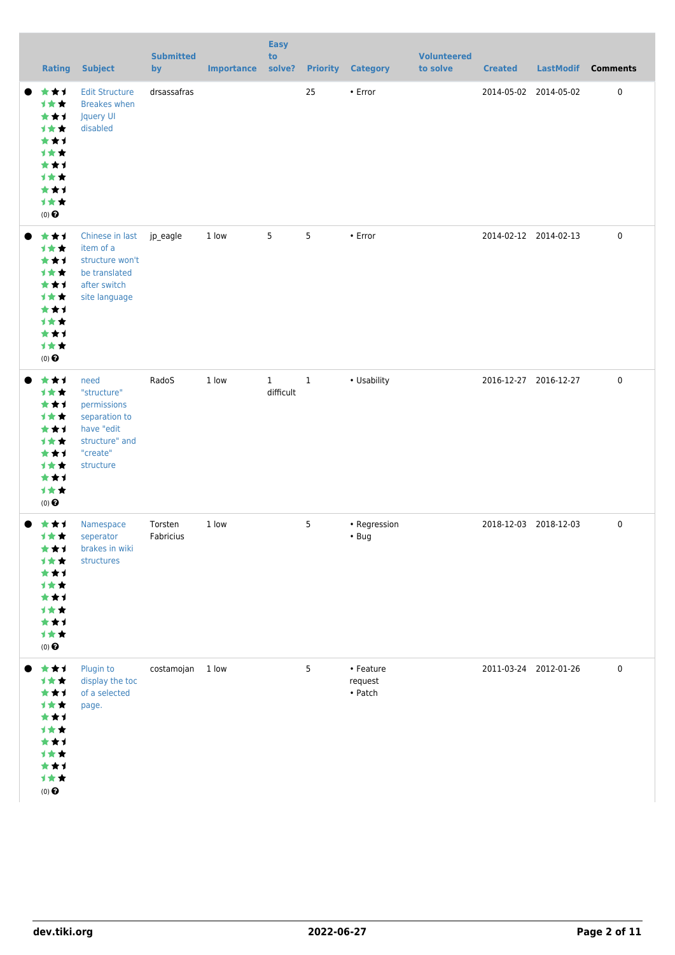|           | <b>Rating</b>                                                                                             | <b>Subject</b>                                                                                               | <b>Submitted</b><br>by | <b>Importance</b> | <b>Easy</b><br>to<br>solve? |       | <b>Priority Category</b>                | <b>Volunteered</b><br>to solve | <b>Created</b>        | <b>LastModif</b> | <b>Comments</b> |
|-----------|-----------------------------------------------------------------------------------------------------------|--------------------------------------------------------------------------------------------------------------|------------------------|-------------------|-----------------------------|-------|-----------------------------------------|--------------------------------|-----------------------|------------------|-----------------|
| $\bullet$ | ***<br><b>1**</b><br>***<br>计女女<br>***<br>计女女<br>***<br>计女女<br>***<br>计女女<br>$(0)$ $\odot$                | <b>Edit Structure</b><br><b>Breakes when</b><br>Jquery UI<br>disabled                                        | drsassafras            |                   |                             | 25    | • Error                                 |                                | 2014-05-02 2014-05-02 |                  | $\pmb{0}$       |
|           | ***<br>计女女<br>***<br>1★★<br>***<br>计女女<br>***<br>计女女<br>***<br>计女女<br>$(0)$ <sup><math>\odot</math></sup> | Chinese in last<br>item of a<br>structure won't<br>be translated<br>after switch<br>site language            | jp_eagle               | 1 low             | 5                           | 5     | $\cdot$ Error                           |                                | 2014-02-12 2014-02-13 |                  | $\mathbf 0$     |
|           | ***<br>计女女<br>***<br>计女女<br>***<br>计女女<br>***<br>计女女<br>***<br>1★★<br>$(0)$ <sup><math>\odot</math></sup> | need<br>"structure"<br>permissions<br>separation to<br>have "edit<br>structure" and<br>"create"<br>structure | RadoS                  | 1 low             | $\mathbf{1}$<br>difficult   | $1\,$ | • Usability                             |                                | 2016-12-27 2016-12-27 |                  | 0               |
|           | ***<br>计女女<br>***<br>计女女<br>***<br>1★★<br>***<br>计女女<br>***<br>1★★<br>$(0)$ $\bigodot$                    | Namespace<br>seperator<br>brakes in wiki<br>structures                                                       | Torsten<br>Fabricius   | 1 low             |                             | 5     | • Regression<br>$\cdot$ Bug             |                                | 2018-12-03 2018-12-03 |                  | $\pmb{0}$       |
|           | ***<br>计女女<br>***<br>计女女<br>***<br>计女女<br>***<br>计女女<br>***<br>计女女<br>$(0)$ $\bigodot$                    | Plugin to<br>display the toc<br>of a selected<br>page.                                                       | costamojan             | 1 low             |                             | 5     | • Feature<br>request<br>$\bullet$ Patch |                                | 2011-03-24 2012-01-26 |                  | $\pmb{0}$       |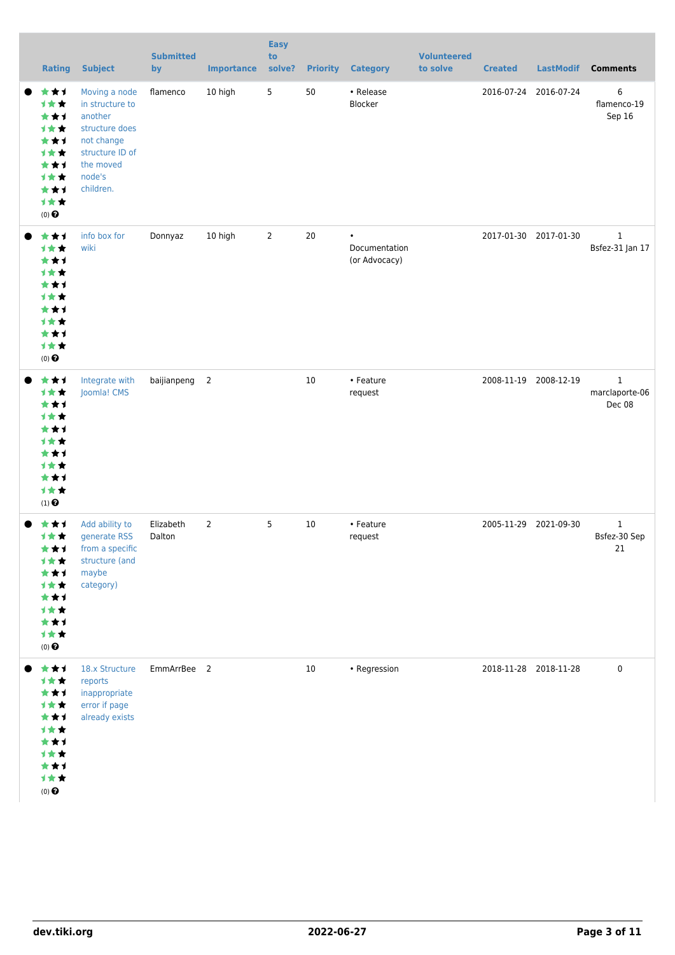|           | <b>Rating</b>                                                                                                           | <b>Subject</b>                                                                                                                     | <b>Submitted</b><br>by | <b>Importance</b> | <b>Easy</b><br>to<br>solve? | <b>Priority</b> | <b>Category</b>                             | <b>Volunteered</b><br>to solve | <b>Created</b> | <b>LastModif</b>      | <b>Comments</b>                          |
|-----------|-------------------------------------------------------------------------------------------------------------------------|------------------------------------------------------------------------------------------------------------------------------------|------------------------|-------------------|-----------------------------|-----------------|---------------------------------------------|--------------------------------|----------------|-----------------------|------------------------------------------|
| $\bullet$ | ***<br>计女女<br>***<br>计女女<br>***<br>计女女<br>***<br>计女女<br>***<br>1★★<br>$(0)$ $\bigodot$                                  | Moving a node<br>in structure to<br>another<br>structure does<br>not change<br>structure ID of<br>the moved<br>node's<br>children. | flamenco               | 10 high           | 5                           | 50              | • Release<br>Blocker                        |                                |                | 2016-07-24 2016-07-24 | 6<br>flamenco-19<br>Sep 16               |
|           | ***<br>计女女<br>***<br>计女女<br>***<br>***<br>***<br>计女女<br>***<br>计女女<br>$(0)$ $\odot$                                     | info box for<br>wiki                                                                                                               | Donnyaz                | 10 high           | $\overline{2}$              | 20              | $\bullet$<br>Documentation<br>(or Advocacy) |                                |                | 2017-01-30 2017-01-30 | $\mathbf{1}$<br>Bsfez-31 Jan 17          |
|           | ***<br>计女女<br>***<br>计女女<br>***<br><b>1**</b><br>***<br><b>1**</b><br>***<br>1★★<br>$(1)$ <sup><math>\odot</math></sup> | Integrate with<br>Joomla! CMS                                                                                                      | baijianpeng            | $\overline{2}$    |                             | $10\,$          | • Feature<br>request                        |                                | 2008-11-19     | 2008-12-19            | $\mathbf{1}$<br>marclaporte-06<br>Dec 08 |
|           | ★★1<br>计女女<br>★★↑<br>计女女<br>***<br>1★★<br>***<br>1★★<br>***<br>计女女<br>$(0)$ $\odot$                                     | Add ability to<br>generate RSS<br>from a specific<br>structure (and<br>maybe<br>category)                                          | Elizabeth<br>Dalton    | 2                 | 5                           | 10              | • Feature<br>request                        |                                |                | 2005-11-29 2021-09-30 | $\mathbf{1}$<br>Bsfez-30 Sep<br>21       |
|           | ***<br>1★★<br>***<br>1★★<br>***<br>计女女<br>***<br>计女女<br>***<br>计女女<br>$(0)$ $\odot$                                     | 18.x Structure<br>reports<br>inappropriate<br>error if page<br>already exists                                                      | EmmArrBee 2            |                   |                             | 10              | • Regression                                |                                |                | 2018-11-28 2018-11-28 | 0                                        |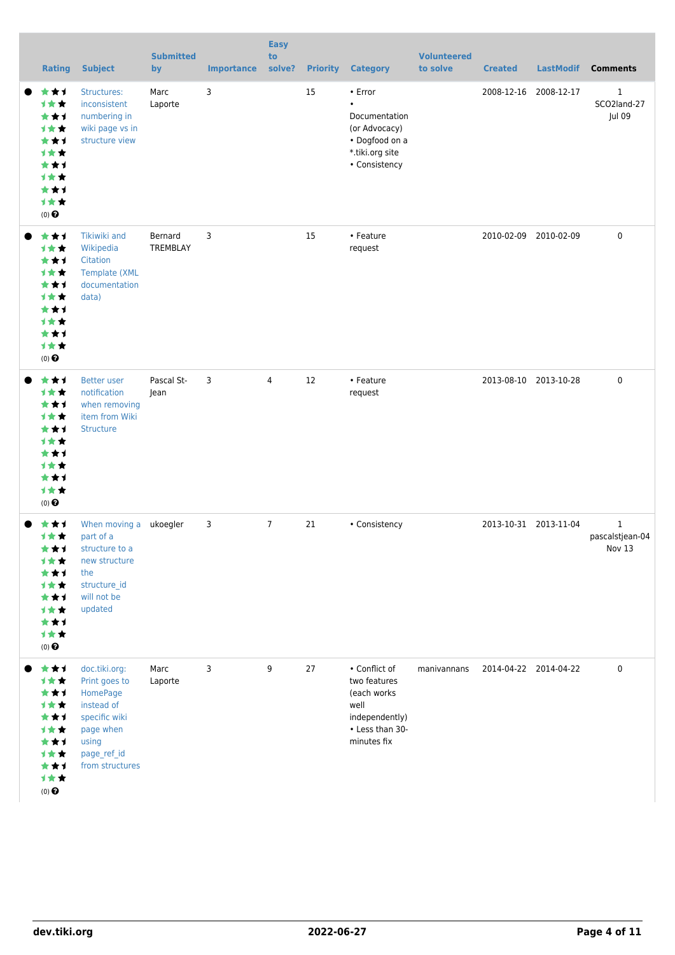| <b>Rating</b>                                                                                  | <b>Subject</b>                                                                                                                    | <b>Submitted</b><br>by | <b>Importance</b> | <b>Easy</b><br>to<br>solve? |    | <b>Priority Category</b>                                                                                     | <b>Volunteered</b><br>to solve | <b>Created</b>        | <b>LastModif</b>      | <b>Comments</b>                           |
|------------------------------------------------------------------------------------------------|-----------------------------------------------------------------------------------------------------------------------------------|------------------------|-------------------|-----------------------------|----|--------------------------------------------------------------------------------------------------------------|--------------------------------|-----------------------|-----------------------|-------------------------------------------|
| ***<br>计女女<br>***<br>计女女<br>***<br><b>1**</b><br>***<br>***<br>***<br>计女女<br>(0)               | Structures:<br>inconsistent<br>numbering in<br>wiki page vs in<br>structure view                                                  | Marc<br>Laporte        | 3                 |                             | 15 | • Error<br>$\bullet$<br>Documentation<br>(or Advocacy)<br>• Dogfood on a<br>*.tiki.org site<br>• Consistency |                                |                       | 2008-12-16 2008-12-17 | 1<br>SCO2land-27<br>Jul 09                |
| ***<br>1★★<br>***<br><b>1**</b><br>***<br>计女女<br>***<br><b>1**</b><br>***<br>计女女<br>(0)        | Tikiwiki and<br>Wikipedia<br>Citation<br><b>Template (XML</b><br>documentation<br>data)                                           | Bernard<br>TREMBLAY    | 3                 |                             | 15 | • Feature<br>request                                                                                         |                                |                       | 2010-02-09 2010-02-09 | $\mathbf 0$                               |
| ***<br>计女女<br>***<br><b>1**</b><br>***<br><b>1**</b><br>***<br><b>1**</b><br>***<br>计女女<br>(0) | <b>Better user</b><br>notification<br>when removing<br>item from Wiki<br>Structure                                                | Pascal St-<br>Jean     | 3                 | $\overline{4}$              | 12 | • Feature<br>request                                                                                         |                                |                       | 2013-08-10 2013-10-28 | 0                                         |
| ★★1<br>计女女<br>***<br>计女女<br>***<br>计女女<br>***<br><b>1**</b><br>***<br>计女女<br>$(0)$ $\Theta$    | When moving a ukoegler<br>part of a<br>structure to a<br>new structure<br>the<br>structure_id<br>will not be<br>updated           |                        | 3                 | $\overline{7}$              | 21 | • Consistency                                                                                                |                                |                       | 2013-10-31 2013-11-04 | $\mathbf{1}$<br>pascalstjean-04<br>Nov 13 |
| ***<br>1★★<br>***<br><b>1**</b><br>***<br>计女女<br>***<br>计女女<br>***<br>计女女<br>$(0)$ $\Theta$    | doc.tiki.org:<br>Print goes to<br>HomePage<br>instead of<br>specific wiki<br>page when<br>using<br>page_ref_id<br>from structures | Marc<br>Laporte        | 3                 | 9                           | 27 | • Conflict of<br>two features<br>(each works)<br>well<br>independently)<br>• Less than 30-<br>minutes fix    | manivannans                    | 2014-04-22 2014-04-22 |                       | $\pmb{0}$                                 |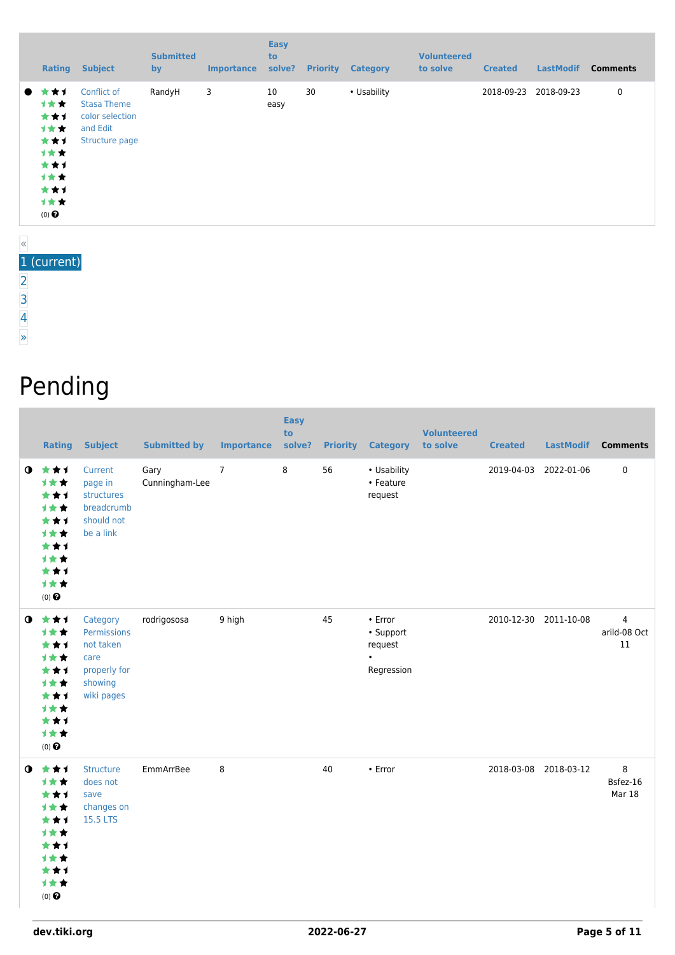| <b>Subject</b><br>Rating                                                                                                                                                                      | <b>Submitted</b><br>by | <b>Importance</b> | <b>Easy</b><br>to<br>solve? | <b>Priority</b> | <b>Category</b> | <b>Volunteered</b><br>to solve | <b>Created</b> | <b>LastModif</b> | <b>Comments</b> |
|-----------------------------------------------------------------------------------------------------------------------------------------------------------------------------------------------|------------------------|-------------------|-----------------------------|-----------------|-----------------|--------------------------------|----------------|------------------|-----------------|
| ★★1<br>Conflict of<br>$\bullet$<br><b>1**</b><br><b>Stasa Theme</b><br>***<br>color selection<br>计女女<br>and Edit<br>***<br>Structure page<br>计女女<br>***<br>计女女<br>***<br>计女女<br>$(0)$ $\odot$ | RandyH                 | 3                 | 10<br>easy                  | 30              | • Usability     |                                | 2018-09-23     | 2018-09-23       | 0               |

#### 1 (current)

[2](https://dev.tiki.org/tiki-print.php?page=Structure&tr_sort_mode1=f_41_asc&tr_offset1=20)

- [3](https://dev.tiki.org/tiki-print.php?page=Structure&tr_sort_mode1=f_41_asc&tr_offset1=40)
- [4](https://dev.tiki.org/tiki-print.php?page=Structure&tr_sort_mode1=f_41_asc&tr_offset1=60)
- [»](https://dev.tiki.org/tiki-print.php?page=Structure&tr_sort_mode1=f_41_asc&tr_offset1=20)

# Pending

|           | <b>Rating</b>                                                                                                | <b>Subject</b>                                                                        | <b>Submitted by</b>    | <b>Importance</b> | <b>Easy</b><br>to<br>solve? |    | <b>Priority Category</b>                                         | <b>Volunteered</b><br>to solve | <b>Created</b> | <b>LastModif</b>      | <b>Comments</b>                      |
|-----------|--------------------------------------------------------------------------------------------------------------|---------------------------------------------------------------------------------------|------------------------|-------------------|-----------------------------|----|------------------------------------------------------------------|--------------------------------|----------------|-----------------------|--------------------------------------|
|           | $0$ $\star\star\star$<br>1★★<br>***<br>1★★<br>***<br>1★★<br>***<br>计女女<br>***<br>计女女<br>$(0)$ $\odot$        | Current<br>page in<br>structures<br>breadcrumb<br>should not<br>be a link             | Gary<br>Cunningham-Lee | $\overline{7}$    | 8                           | 56 | • Usability<br>• Feature<br>request                              |                                |                | 2019-04-03 2022-01-06 | 0                                    |
| $\bullet$ | 女女士<br>计女女<br>***<br>1★★<br>***<br>1★★<br>***<br>计女女<br>***<br>计女女<br>$(0)$ $\odot$                          | Category<br>Permissions<br>not taken<br>care<br>properly for<br>showing<br>wiki pages | rodrigososa            | 9 high            |                             | 45 | $\cdot$ Error<br>• Support<br>request<br>$\bullet$<br>Regression |                                |                | 2010-12-30 2011-10-08 | $\overline{4}$<br>arild-08 Oct<br>11 |
|           | $0$ $\star\star\star$<br>计女女<br>***<br><b>1**</b><br>***<br>1★★<br>***<br>计女女<br>***<br>计女女<br>$(0)$ $\odot$ | <b>Structure</b><br>does not<br>save<br>changes on<br>15.5 LTS                        | EmmArrBee              | 8                 |                             | 40 | • Error                                                          |                                |                | 2018-03-08 2018-03-12 | 8<br>Bsfez-16<br>Mar 18              |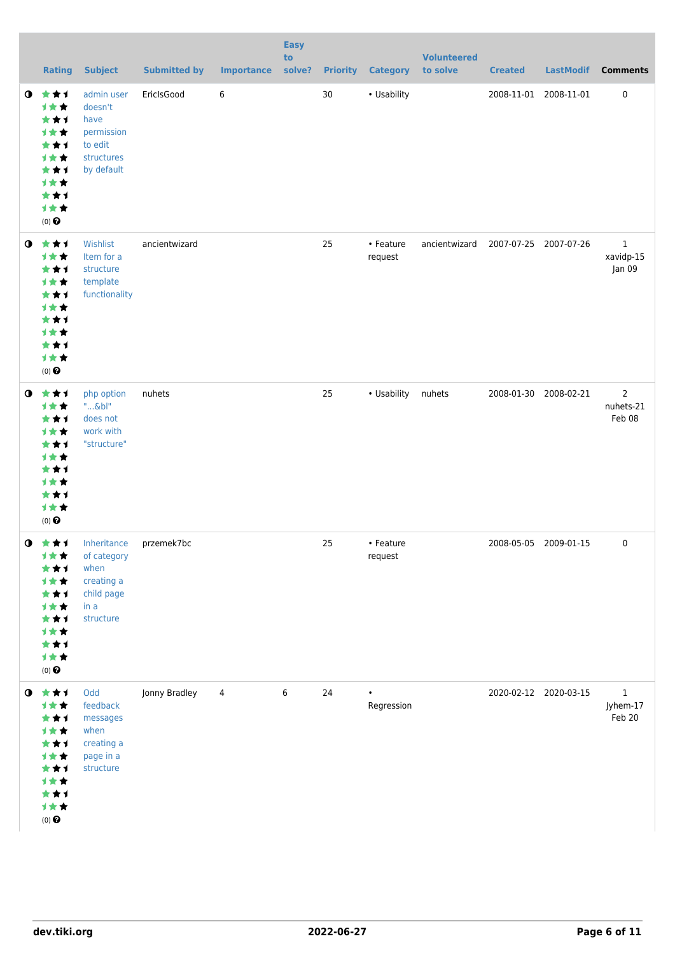|             | <b>Rating</b>                                                                                                       | <b>Subject</b>                                                                                 | <b>Submitted by</b> | <b>Importance</b> | <b>Easy</b><br>to<br>solve? |    | <b>Priority Category</b> | <b>Volunteered</b><br>to solve | <b>Created</b> | <b>LastModif</b>      | <b>Comments</b>                     |
|-------------|---------------------------------------------------------------------------------------------------------------------|------------------------------------------------------------------------------------------------|---------------------|-------------------|-----------------------------|----|--------------------------|--------------------------------|----------------|-----------------------|-------------------------------------|
| $\mathbf o$ | 女女子<br>计女女<br>***<br>计女女<br>***<br>计女女<br>***<br>1★★<br>***<br>计女女<br>$(0)$ $\odot$                                 | admin user<br>doesn't<br>have<br>permission<br>to edit<br>structures<br>by default             | EricIsGood          | 6                 |                             | 30 | • Usability              |                                |                | 2008-11-01 2008-11-01 | 0                                   |
| $\bullet$   | ***<br>计女女<br>***<br>计女女<br>***<br>计女女<br>***<br>计女女<br>***<br>计女女<br>$(0)$ $\odot$                                 | Wishlist<br>Item for a<br>structure<br>template<br>functionality                               | ancientwizard       |                   |                             | 25 | • Feature<br>request     | ancientwizard                  |                | 2007-07-25 2007-07-26 | $\mathbf 1$<br>xavidp-15<br>Jan 09  |
| $\bullet$   | ***<br>计女女<br>***<br>计女女<br>***<br>计女女<br>***<br>1★★<br>***<br>计女女<br>$(0)$ $\odot$                                 | php option<br>$".$ & bl"<br>does not<br>work with<br>"structure"                               | nuhets              |                   |                             | 25 | • Usability              | nuhets                         |                | 2008-01-30 2008-02-21 | $\mathbf{2}$<br>nuhets-21<br>Feb 08 |
|             | $0$ $\star\star\star$<br>计女女<br>***<br><b>1**</b><br>***<br>计女女<br>***<br>1★★<br>***<br>计女女<br>$(0)$ $\pmb{\Theta}$ | Inheritance przemek7bc<br>of category<br>when<br>creating a<br>child page<br>in a<br>structure |                     |                   |                             | 25 | • Feature<br>request     |                                |                | 2008-05-05 2009-01-15 | $\Omega$                            |
|             | $0$ $\star\star\star$<br>1女女<br>***<br><b>1**</b><br>***<br>计女女<br>***<br>计女女<br>***<br>计女女<br>$(0)$ $\odot$        | Odd<br>feedback<br>messages<br>when<br>creating a<br>page in a<br>structure                    | Jonny Bradley       | 4                 | 6                           | 24 | $\bullet$<br>Regression  |                                |                | 2020-02-12 2020-03-15 | $\mathbf{1}$<br>Jyhem-17<br>Feb 20  |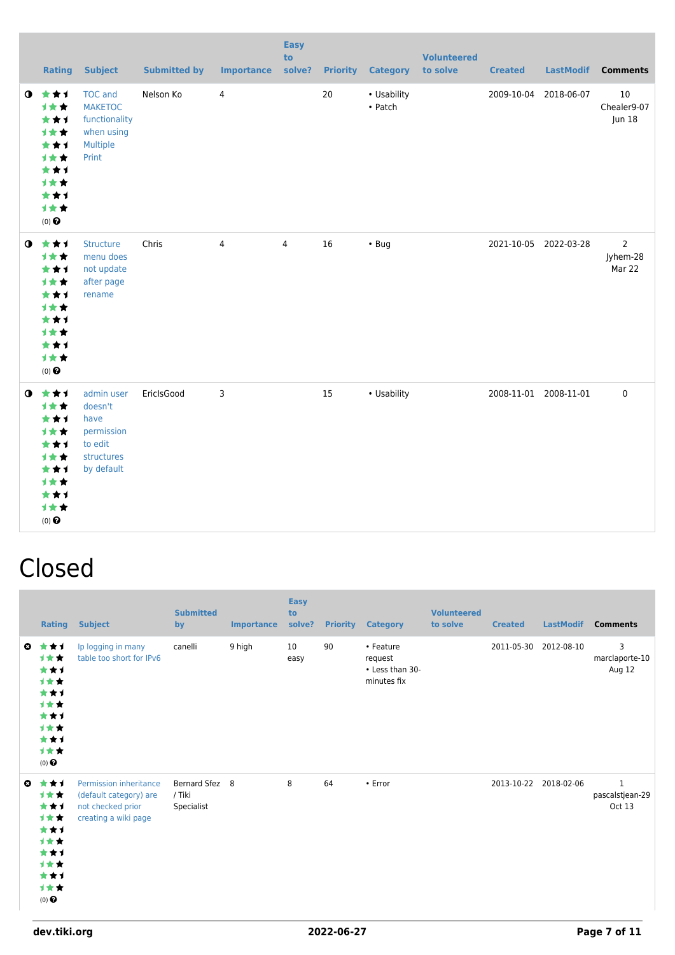|             | <b>Rating</b>                                                                          | <b>Subject</b>                                                                       | <b>Submitted by</b> | <b>Importance</b> | <b>Easy</b><br>to<br>solve? | <b>Priority</b> | <b>Category</b>                | <b>Volunteered</b><br>to solve | <b>Created</b> | <b>LastModif</b>      | <b>Comments</b>                      |
|-------------|----------------------------------------------------------------------------------------|--------------------------------------------------------------------------------------|---------------------|-------------------|-----------------------------|-----------------|--------------------------------|--------------------------------|----------------|-----------------------|--------------------------------------|
| $\mathbf o$ | ***<br>1★★<br>***<br>计女女<br>***<br>1★★<br>***<br>1★★<br>***<br>计女女<br>$(0)$ $\odot$    | <b>TOC</b> and<br><b>MAKETOC</b><br>functionality<br>when using<br>Multiple<br>Print | Nelson Ko           | 4                 |                             | 20              | • Usability<br>$\bullet$ Patch |                                | 2009-10-04     | 2018-06-07            | 10<br>Chealer9-07<br>Jun 18          |
| $\bullet$   | 大女子<br>计女女<br>***<br>计女女<br>***<br>计女女<br>***<br>计女女<br>***<br>计女女<br>$(0)$ $\bigodot$ | <b>Structure</b><br>menu does<br>not update<br>after page<br>rename                  | Chris               | 4                 | 4                           | 16              | $\cdot$ Bug                    |                                |                | 2021-10-05 2022-03-28 | $\overline{2}$<br>Jyhem-28<br>Mar 22 |
| $\bullet$   | ***<br>计女女<br>***<br>计女女<br>***<br>计女女<br>***<br>计女女<br>***<br>计女女<br>$(0)$ $\odot$    | admin user<br>doesn't<br>have<br>permission<br>to edit<br>structures<br>by default   | EricIsGood          | 3                 |                             | 15              | • Usability                    |                                |                | 2008-11-01 2008-11-01 | $\mathbf 0$                          |

### Closed

|              | Rating                                                                              | <b>Subject</b>                                                                                | <b>Submitted</b><br>by                 | <b>Importance</b> | <b>Easy</b><br>to<br>solve? | <b>Priority</b> | <b>Category</b>                                        | <b>Volunteered</b><br>to solve | <b>Created</b> | <b>LastModif</b>      | <b>Comments</b>                           |
|--------------|-------------------------------------------------------------------------------------|-----------------------------------------------------------------------------------------------|----------------------------------------|-------------------|-----------------------------|-----------------|--------------------------------------------------------|--------------------------------|----------------|-----------------------|-------------------------------------------|
| $\mathbf{c}$ | ***<br>***<br>***<br>1★★<br>***<br>1★★<br>***<br>1★★<br>***<br>1★★<br>$(0)$ $\odot$ | Ip logging in many<br>table too short for IPv6                                                | canelli                                | 9 high            | 10<br>easy                  | 90              | • Feature<br>request<br>• Less than 30-<br>minutes fix |                                | 2011-05-30     | 2012-08-10            | 3<br>marclaporte-10<br>Aug 12             |
| $\mathbf{a}$ | ***<br>1★★<br>***<br>1★★<br>***<br>1★★<br>***<br>1★★<br>***<br>1★★<br>$(0)$ $\odot$ | Permission inheritance<br>(default category) are<br>not checked prior<br>creating a wiki page | Bernard Sfez 8<br>/ Tiki<br>Specialist |                   | 8                           | 64              | • Error                                                |                                |                | 2013-10-22 2018-02-06 | $\mathbf{1}$<br>pascalstjean-29<br>Oct 13 |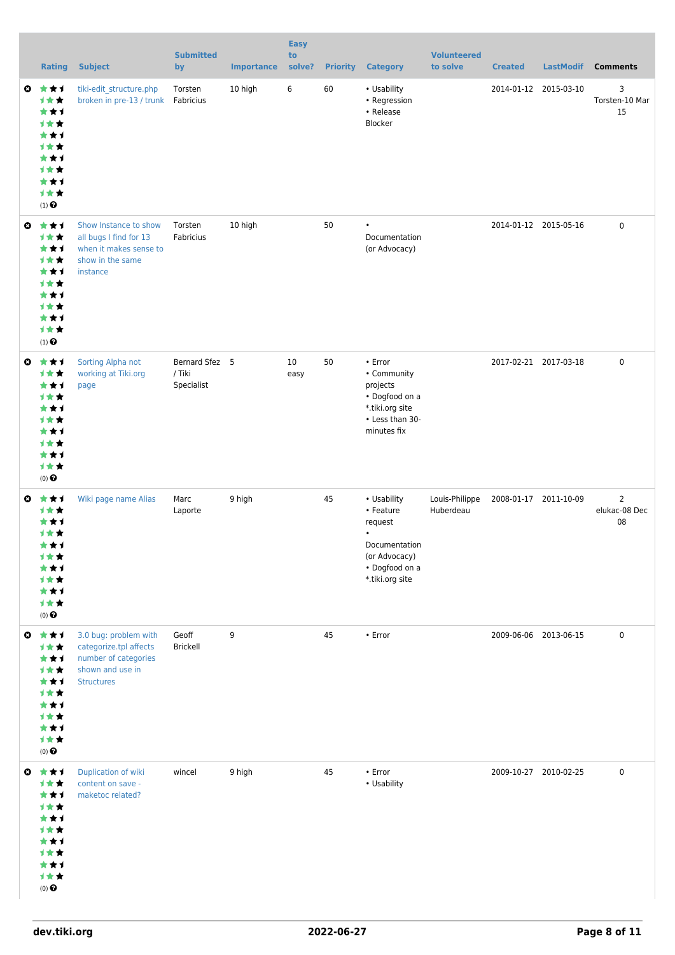|           | <b>Rating</b>                                                                                                 | <b>Subject</b>                                                                                                   | <b>Submitted</b><br>by                 | <b>Importance</b> | <b>Easy</b><br>to<br>solve? | <b>Priority</b> | <b>Category</b>                                                                                                         | <b>Volunteered</b><br>to solve | <b>Created</b> | <b>LastModif</b>      | <b>Comments</b>                       |
|-----------|---------------------------------------------------------------------------------------------------------------|------------------------------------------------------------------------------------------------------------------|----------------------------------------|-------------------|-----------------------------|-----------------|-------------------------------------------------------------------------------------------------------------------------|--------------------------------|----------------|-----------------------|---------------------------------------|
| $\bullet$ | ***<br>计女女<br>***<br>计女女<br>***<br><b>1**</b><br>***<br>计女女<br>***<br>1★★<br>$(1)$ $\odot$                    | tiki-edit_structure.php<br>broken in pre-13 / trunk                                                              | Torsten<br>Fabricius                   | 10 high           | 6                           | 60              | • Usability<br>• Regression<br>• Release<br>Blocker                                                                     |                                |                | 2014-01-12 2015-03-10 | 3<br>Torsten-10 Mar<br>15             |
| $\bullet$ | ***<br>计女女<br>***<br>计女女<br>***<br><b>1**</b><br>***<br>计女女<br>***<br>1★★<br>$(1)$ $\odot$                    | Show Instance to show<br>all bugs I find for 13<br>when it makes sense to<br>show in the same<br>instance        | Torsten<br>Fabricius                   | 10 high           |                             | 50              | $\bullet$<br>Documentation<br>(or Advocacy)                                                                             |                                |                | 2014-01-12 2015-05-16 | $\mathbf 0$                           |
| $\bullet$ | ***<br>计女女<br>***<br><b>1**</b><br>***<br><b>1**</b><br>***<br>计女女<br>***<br>1★★<br>$(0)$ $\odot$             | Sorting Alpha not<br>working at Tiki.org<br>page                                                                 | Bernard Sfez 5<br>/ Tiki<br>Specialist |                   | 10<br>easy                  | 50              | • Error<br>• Community<br>projects<br>• Dogfood on a<br>*.tiki.org site<br>• Less than 30-<br>minutes fix               |                                |                | 2017-02-21 2017-03-18 | $\pmb{0}$                             |
|           | $Q \star \star 1$<br>1★★<br>***<br>计女女<br>***<br>计女女<br>★ ★ 1<br>计女女<br>***<br>计女女<br>$(0)$<br>$\pmb{\Theta}$ | Wiki page name Alias                                                                                             | Marc<br>Laporte                        | 9 high            |                             | 45              | • Usability<br>• Feature<br>request<br>$\bullet$<br>Documentation<br>(or Advocacy)<br>• Dogfood on a<br>*.tiki.org site | Louis-Philippe<br>Huberdeau    |                | 2008-01-17 2011-10-09 | $\overline{2}$<br>elukac-08 Dec<br>08 |
| $\bullet$ | 大女子<br>计女女<br>***<br>计女女<br>***<br>计女女<br>***<br>计女女<br>***<br>计女女<br>$(0)$<br>$\pmb{\Theta}$                 | 3.0 bug: problem with<br>categorize.tpl affects<br>number of categories<br>shown and use in<br><b>Structures</b> | Geoff<br>Brickell                      | 9                 |                             | 45              | • Error                                                                                                                 |                                |                | 2009-06-06 2013-06-15 | $\pmb{0}$                             |
| $\bullet$ | 大女子<br>1★★<br>***<br>计女女<br>***<br>计女女<br>***<br>计女女<br>***<br>计女女<br>$(0)$ $\odot$                           | Duplication of wiki<br>content on save -<br>maketoc related?                                                     | wincel                                 | 9 high            |                             | 45              | • Error<br>• Usability                                                                                                  |                                |                | 2009-10-27 2010-02-25 | $\pmb{0}$                             |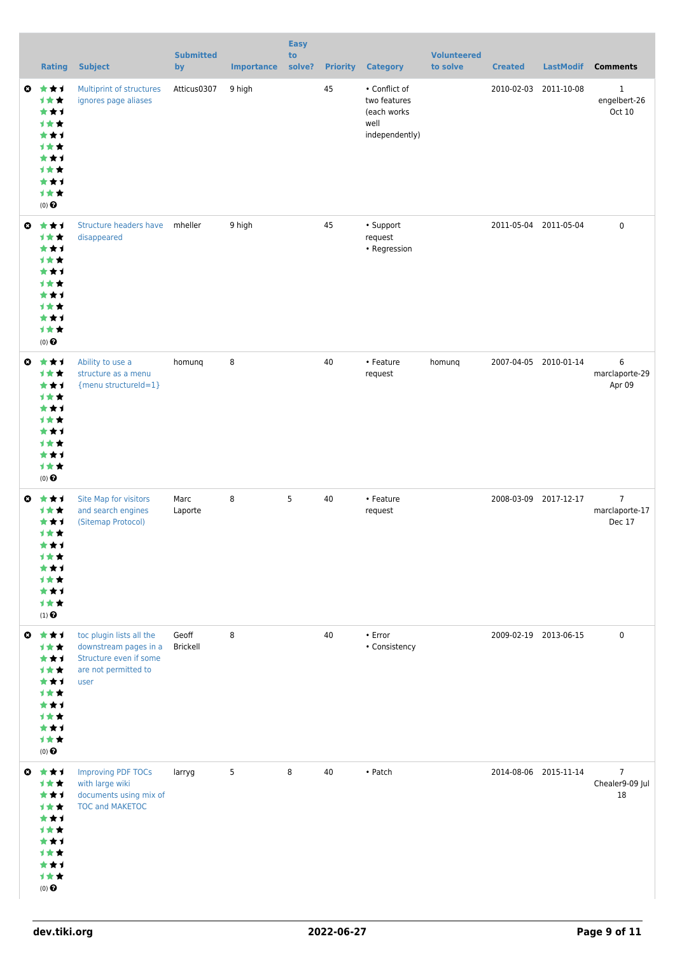|           | <b>Rating</b>                                                                                       | <b>Subject</b>                                                                                              | <b>Submitted</b><br>by   | <b>Importance</b> | <b>Easy</b><br>to<br>solve? | <b>Priority</b> | <b>Category</b>                                                        | <b>Volunteered</b><br>to solve | <b>Created</b>        | <b>LastModif</b>      | <b>Comments</b>                            |
|-----------|-----------------------------------------------------------------------------------------------------|-------------------------------------------------------------------------------------------------------------|--------------------------|-------------------|-----------------------------|-----------------|------------------------------------------------------------------------|--------------------------------|-----------------------|-----------------------|--------------------------------------------|
| $\bullet$ | ***<br>1★★<br>***<br>计女女<br>***<br><b>1**</b><br>***<br>计女女<br>***<br>1★★<br>$(0)$ $\odot$          | Multiprint of structures<br>ignores page aliases                                                            | Atticus0307              | 9 high            |                             | 45              | • Conflict of<br>two features<br>(each works<br>well<br>independently) |                                | 2010-02-03            | 2011-10-08            | 1<br>engelbert-26<br>Oct 10                |
| $\bullet$ | ***<br>计女女<br>***<br>计女女<br>***<br><b>1**</b><br>***<br><b>1**</b><br>***<br>1★★<br>$(0)$ $\odot$   | Structure headers have<br>disappeared                                                                       | mheller                  | 9 high            |                             | 45              | • Support<br>request<br>• Regression                                   |                                |                       | 2011-05-04 2011-05-04 | 0                                          |
| $\bullet$ | ***<br><b>1**</b><br>***<br><b>1**</b><br>***<br>计女女<br>***<br>计女女<br>***<br>1★★<br>$(0)$ $\odot$   | Ability to use a<br>structure as a menu<br>{menu structureId=1}                                             | homung                   | 8                 |                             | 40              | • Feature<br>request                                                   | homunq                         |                       | 2007-04-05 2010-01-14 | 6<br>marclaporte-29<br>Apr 09              |
| $\bullet$ | ***<br><b>1**</b><br>***<br>1★★<br>***<br>计女女<br>* * 1<br><b>1**</b><br>***<br>计女女<br>$(1)$ $\odot$ | Site Map for visitors<br>and search engines<br>(Sitemap Protocol)                                           | Marc<br>Laporte          | 8                 | 5                           | 40              | • Feature<br>request                                                   |                                |                       | 2008-03-09 2017-12-17 | $\overline{7}$<br>marclaporte-17<br>Dec 17 |
| $\bullet$ | 大大士<br>1★★<br>***<br>计女女<br>***<br>1★★<br>***<br><b>1**</b><br>***<br>计女女<br>$(0)$ $\odot$          | toc plugin lists all the<br>downstream pages in a<br>Structure even if some<br>are not permitted to<br>user | Geoff<br><b>Brickell</b> | 8                 |                             | 40              | $\cdot$ Error<br>• Consistency                                         |                                | 2009-02-19 2013-06-15 |                       | 0                                          |
| $\bullet$ | ***<br>1★★<br>***<br>1★★<br>***<br>计女女<br>***<br>计女女<br>***<br>计女女<br>$(0)$ $\odot$                 | <b>Improving PDF TOCs</b><br>with large wiki<br>documents using mix of<br><b>TOC and MAKETOC</b>            | larryg                   | 5                 | 8                           | 40              | $\bullet$ Patch                                                        |                                |                       | 2014-08-06 2015-11-14 | $\overline{7}$<br>Chealer9-09 Jul<br>18    |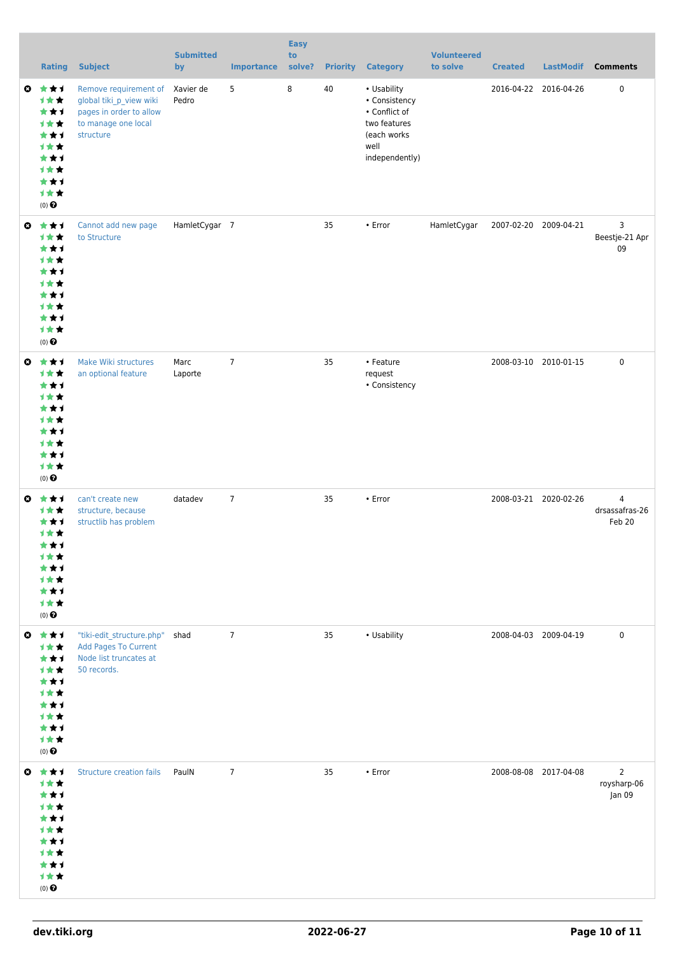|              | <b>Rating</b>                                                                                                     | <b>Subject</b>                                                                                                  | <b>Submitted</b><br>by | <b>Importance</b> | <b>Easy</b><br>to<br>solve? | <b>Priority</b> | <b>Category</b>                                                                                        | <b>Volunteered</b><br>to solve | <b>Created</b>        | <b>LastModif</b> | <b>Comments</b>                            |
|--------------|-------------------------------------------------------------------------------------------------------------------|-----------------------------------------------------------------------------------------------------------------|------------------------|-------------------|-----------------------------|-----------------|--------------------------------------------------------------------------------------------------------|--------------------------------|-----------------------|------------------|--------------------------------------------|
| $\bullet$    | ***<br>1★★<br>***<br>计女女<br>***<br>1★★<br>***<br>计女女<br>***<br>1★★<br>$(0)$ $\Theta$                              | Remove requirement of<br>global tiki_p_view wiki<br>pages in order to allow<br>to manage one local<br>structure | Xavier de<br>Pedro     | 5                 | 8                           | 40              | • Usability<br>• Consistency<br>• Conflict of<br>two features<br>(each works<br>well<br>independently) |                                | 2016-04-22 2016-04-26 |                  | $\pmb{0}$                                  |
| $\mathbf{c}$ | ***<br>计女女<br>***<br>计女女<br>***<br><b>1**</b><br>***<br>计女女<br>***<br>计女女<br>$(0)$ <sup><math>\odot</math></sup>  | Cannot add new page<br>to Structure                                                                             | HamletCygar 7          |                   |                             | 35              | • Error                                                                                                | HamletCygar                    | 2007-02-20 2009-04-21 |                  | 3<br>Beestje-21 Apr<br>09                  |
|              | $0 \star \star \star$<br>计女女<br>***<br>计女女<br>***<br>计女女<br>***<br>计女女<br>***<br>计女女<br>$(0)$ $\Theta$            | Make Wiki structures<br>an optional feature                                                                     | Marc<br>Laporte        | $\overline{7}$    |                             | 35              | • Feature<br>request<br>• Consistency                                                                  |                                | 2008-03-10 2010-01-15 |                  | 0                                          |
|              | $0 \star \star \star$<br>计女女<br>***<br>1★★<br>***<br>计女女<br>★ ★ 1<br>计女女<br>***<br>计女女<br>$(0)$<br>$\pmb{\Theta}$ | can't create new<br>structure, because<br>structlib has problem                                                 | datadev                | $\overline{7}$    |                             | 35              | • Error                                                                                                |                                | 2008-03-21 2020-02-26 |                  | $\overline{4}$<br>drsassafras-26<br>Feb 20 |
|              | $0 \star \star \star$<br>1女女<br>***<br>计女女<br>***<br>计女女<br>***<br>计女女<br>***<br>计女女<br>$(0)$<br>$\pmb{\Theta}$   | "tiki-edit_structure.php" shad<br>Add Pages To Current<br>Node list truncates at<br>50 records.                 |                        | $\overline{7}$    |                             | 35              | • Usability                                                                                            |                                | 2008-04-03 2009-04-19 |                  | 0                                          |
| $\bullet$    | 大女子<br>1★★<br>***<br>计女女<br>***<br>计女女<br>***<br>计女女<br>***<br>计女女<br>$(0)$ $\odot$                               | <b>Structure creation fails</b>                                                                                 | PaulN                  | $7\overline{ }$   |                             | 35              | $\cdot$ Error                                                                                          |                                | 2008-08-08 2017-04-08 |                  | $\overline{2}$<br>roysharp-06<br>Jan 09    |